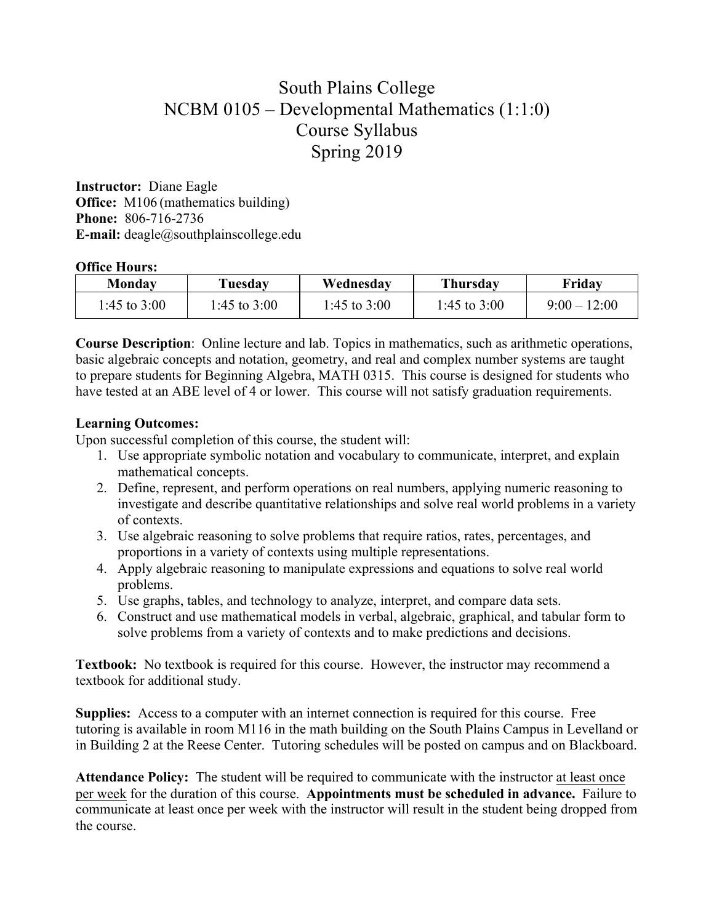## South Plains College NCBM 0105 – Developmental Mathematics (1:1:0) Course Syllabus Spring 2019

**Instructor:** Diane Eagle **Office:** M106 (mathematics building) **Phone:** 806-716-2736 **E-mail:** deagle@southplainscollege.edu

## **Office Hours:**

| Mondav         | Tuesday        | Wednesday      | Thursday     | Friday         |
|----------------|----------------|----------------|--------------|----------------|
| 1:45 to $3:00$ | $1:45$ to 3:00 | 1:45 to $3:00$ | 1:45 to 3:00 | $9:00 - 12:00$ |

**Course Description**: Online lecture and lab. Topics in mathematics, such as arithmetic operations, basic algebraic concepts and notation, geometry, and real and complex number systems are taught to prepare students for Beginning Algebra, MATH 0315. This course is designed for students who have tested at an ABE level of 4 or lower. This course will not satisfy graduation requirements.

## **Learning Outcomes:**

Upon successful completion of this course, the student will:

- 1. Use appropriate symbolic notation and vocabulary to communicate, interpret, and explain mathematical concepts.
- 2. Define, represent, and perform operations on real numbers, applying numeric reasoning to investigate and describe quantitative relationships and solve real world problems in a variety of contexts.
- 3. Use algebraic reasoning to solve problems that require ratios, rates, percentages, and proportions in a variety of contexts using multiple representations.
- 4. Apply algebraic reasoning to manipulate expressions and equations to solve real world problems.
- 5. Use graphs, tables, and technology to analyze, interpret, and compare data sets.
- 6. Construct and use mathematical models in verbal, algebraic, graphical, and tabular form to solve problems from a variety of contexts and to make predictions and decisions.

**Textbook:** No textbook is required for this course. However, the instructor may recommend a textbook for additional study.

**Supplies:** Access to a computer with an internet connection is required for this course. Free tutoring is available in room M116 in the math building on the South Plains Campus in Levelland or in Building 2 at the Reese Center. Tutoring schedules will be posted on campus and on Blackboard.

**Attendance Policy:** The student will be required to communicate with the instructor at least once per week for the duration of this course. **Appointments must be scheduled in advance.** Failure to communicate at least once per week with the instructor will result in the student being dropped from the course.